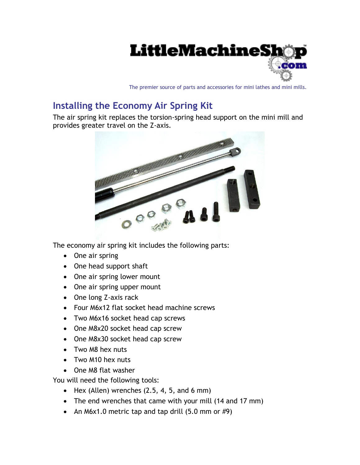

The premier source of parts and accessories for mini lathes and mini mills.

## **Installing the Economy Air Spring Kit**

The air spring kit replaces the torsion-spring head support on the mini mill and provides greater travel on the Z-axis.



The economy air spring kit includes the following parts:

- One air spring
- One head support shaft
- One air spring lower mount
- One air spring upper mount
- One long Z-axis rack
- Four M6x12 flat socket head machine screws
- Two M6x16 socket head cap screws
- One M8x20 socket head cap screw
- One M8x30 socket head cap screw
- Two M8 hex nuts
- Two M10 hex nuts
- One M8 flat washer

You will need the following tools:

- $\bullet$  Hex (Allen) wrenches (2.5, 4, 5, and 6 mm)
- The end wrenches that came with your mill (14 and 17 mm)
- An M6x1.0 metric tap and tap drill  $(5.0 \text{ mm or } \#9)$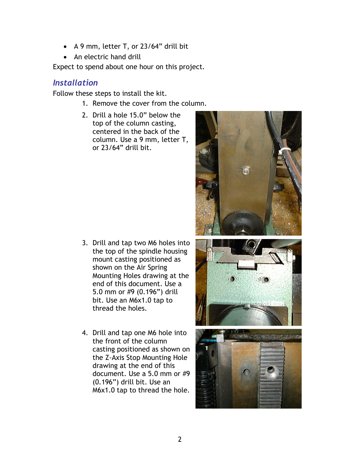- A 9 mm, letter T, or 23/64" drill bit
- An electric hand drill

Expect to spend about one hour on this project.

## *Installation*

Follow these steps to install the kit.

- 1. Remove the cover from the column.
- 2. Drill a hole 15.0" below the top of the column casting, centered in the back of the column. Use a 9 mm, letter T, or 23/64" drill bit.

- 3. Drill and tap two M6 holes into the top of the spindle housing mount casting positioned as shown on the Air Spring Mounting Holes drawing at the end of this document. Use a 5.0 mm or #9 (0.196") drill bit. Use an M6x1.0 tap to thread the holes.
- 4. Drill and tap one M6 hole into the front of the column casting positioned as shown on the Z-Axis Stop Mounting Hole drawing at the end of this document. Use a 5.0 mm or #9 (0.196") drill bit. Use an M6x1.0 tap to thread the hole.





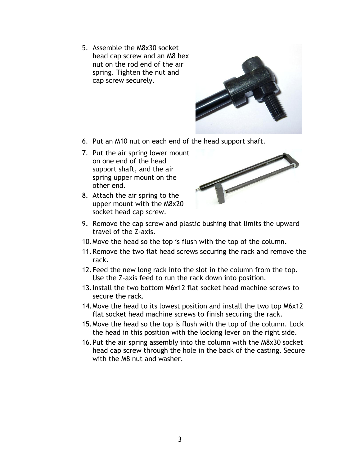5. Assemble the M8x30 socket head cap screw and an M8 hex nut on the rod end of the air spring. Tighten the nut and cap screw securely.



- 6. Put an M10 nut on each end of the head support shaft.
- 7. Put the air spring lower mount on one end of the head support shaft, and the air spring upper mount on the other end.
- 8. Attach the air spring to the upper mount with the M8x20 socket head cap screw.



- 9. Remove the cap screw and plastic bushing that limits the upward travel of the Z-axis.
- 10.Move the head so the top is flush with the top of the column.
- 11.Remove the two flat head screws securing the rack and remove the rack.
- 12.Feed the new long rack into the slot in the column from the top. Use the Z-axis feed to run the rack down into position.
- 13.Install the two bottom M6x12 flat socket head machine screws to secure the rack.
- 14.Move the head to its lowest position and install the two top M6x12 flat socket head machine screws to finish securing the rack.
- 15.Move the head so the top is flush with the top of the column. Lock the head in this position with the locking lever on the right side.
- 16.Put the air spring assembly into the column with the M8x30 socket head cap screw through the hole in the back of the casting. Secure with the M8 nut and washer.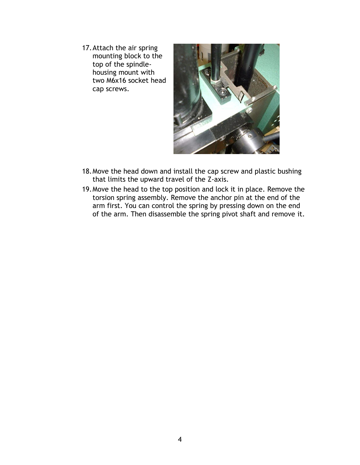17.Attach the air spring mounting block to the top of the spindlehousing mount with two M6x16 socket head cap screws.



- 18.Move the head down and install the cap screw and plastic bushing that limits the upward travel of the Z-axis.
- 19.Move the head to the top position and lock it in place. Remove the torsion spring assembly. Remove the anchor pin at the end of the arm first. You can control the spring by pressing down on the end of the arm. Then disassemble the spring pivot shaft and remove it.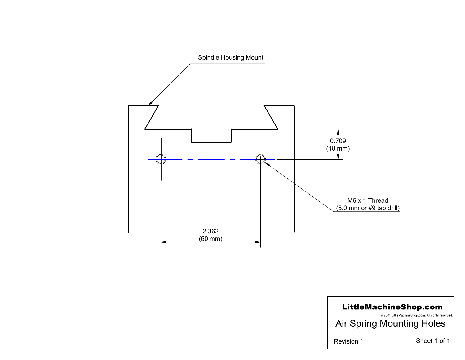